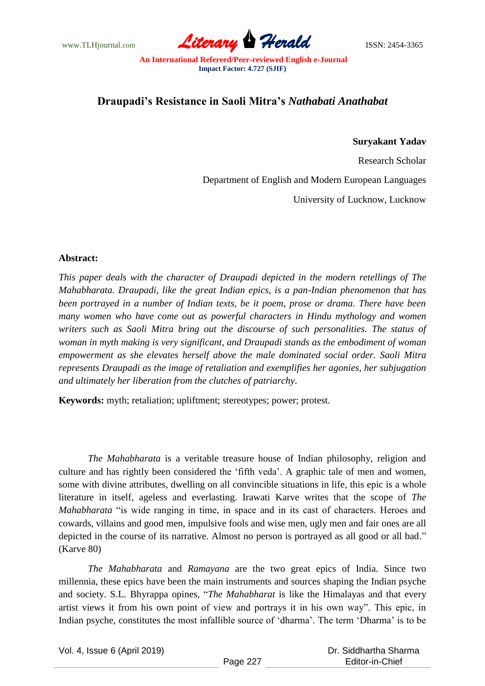www.TLHjournal.com **Literary Herald Herald** ISSN: 2454-3365

## **Draupadi's Resistance in Saoli Mitra's** *Nathabati Anathabat*

## **Suryakant Yadav**

Research Scholar

Department of English and Modern European Languages

University of Lucknow, Lucknow

## **Abstract:**

*This paper deals with the character of Draupadi depicted in the modern retellings of The Mahabharata. Draupadi, like the great Indian epics, is a pan-Indian phenomenon that has been portrayed in a number of Indian texts, be it poem, prose or drama. There have been many women who have come out as powerful characters in Hindu mythology and women writers such as Saoli Mitra bring out the discourse of such personalities. The status of woman in myth making is very significant, and Draupadi stands as the embodiment of woman empowerment as she elevates herself above the male dominated social order. Saoli Mitra represents Draupadi as the image of retaliation and exemplifies her agonies, her subjugation and ultimately her liberation from the clutches of patriarchy*.

**Keywords:** myth; retaliation; upliftment; stereotypes; power; protest.

*The Mahabharata* is a veritable treasure house of Indian philosophy, religion and culture and has rightly been considered the "fifth veda". A graphic tale of men and women, some with divine attributes, dwelling on all convincible situations in life, this epic is a whole literature in itself, ageless and everlasting. Irawati Karve writes that the scope of *The Mahabharata* "is wide ranging in time, in space and in its cast of characters. Heroes and cowards, villains and good men, impulsive fools and wise men, ugly men and fair ones are all depicted in the course of its narrative. Almost no person is portrayed as all good or all bad." (Karve 80)

*The Mahabharata* and *Ramayana* are the two great epics of India. Since two millennia, these epics have been the main instruments and sources shaping the Indian psyche and society. S.L. Bhyrappa opines, "*The Mahabharat* is like the Himalayas and that every artist views it from his own point of view and portrays it in his own way". This epic, in Indian psyche, constitutes the most infallible source of "dharma". The term "Dharma" is to be

Vol. 4, Issue 6 (April 2019)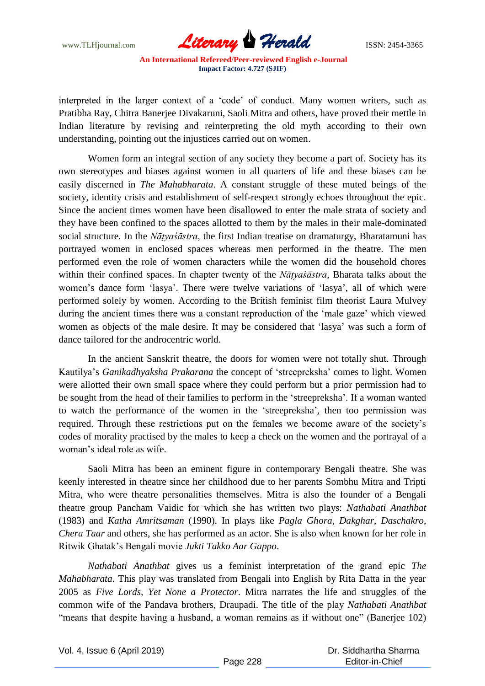www.TLHjournal.com *Literary Herald*ISSN: 2454-3365

interpreted in the larger context of a "code" of conduct. Many women writers, such as Pratibha Ray, Chitra Banerjee Divakaruni, Saoli Mitra and others, have proved their mettle in Indian literature by revising and reinterpreting the old myth according to their own understanding, pointing out the injustices carried out on women.

Women form an integral section of any society they become a part of. Society has its own stereotypes and biases against women in all quarters of life and these biases can be easily discerned in *The Mahabharata*. A constant struggle of these muted beings of the society, identity crisis and establishment of self-respect strongly echoes throughout the epic. Since the ancient times women have been disallowed to enter the male strata of society and they have been confined to the spaces allotted to them by the males in their male-dominated social structure. In the *Nāṭyaśāstra*, the first Indian treatise on dramaturgy, Bharatamuni has portrayed women in enclosed spaces whereas men performed in the theatre. The men performed even the role of women characters while the women did the household chores within their confined spaces. In chapter twenty of the *Nāṭyaśāstra,* Bharata talks about the women's dance form 'lasya'. There were twelve variations of 'lasya', all of which were performed solely by women. According to the British feminist film theorist Laura Mulvey during the ancient times there was a constant reproduction of the "male gaze" which viewed women as objects of the male desire. It may be considered that "lasya" was such a form of dance tailored for the androcentric world.

In the ancient Sanskrit theatre, the doors for women were not totally shut. Through Kautilya"s *Ganikadhyaksha Prakarana* the concept of "streepreksha" comes to light. Women were allotted their own small space where they could perform but a prior permission had to be sought from the head of their families to perform in the "streepreksha". If a woman wanted to watch the performance of the women in the "streepreksha", then too permission was required. Through these restrictions put on the females we become aware of the society"s codes of morality practised by the males to keep a check on the women and the portrayal of a woman"s ideal role as wife.

Saoli Mitra has been an eminent figure in contemporary Bengali theatre. She was keenly interested in theatre since her childhood due to her parents Sombhu Mitra and Tripti Mitra, who were theatre personalities themselves. Mitra is also the founder of a Bengali theatre group Pancham Vaidic for which she has written two plays: *Nathabati Anathbat* (1983) and *Katha Amritsaman* (1990). In plays like *Pagla Ghora*, *Dakghar*, *Daschakro*, *Chera Taar* and others, she has performed as an actor. She is also when known for her role in Ritwik Ghatak"s Bengali movie *Jukti Takko Aar Gappo*.

*Nathabati Anathbat* gives us a feminist interpretation of the grand epic *The Mahabharata*. This play was translated from Bengali into English by Rita Datta in the year 2005 as *Five Lords, Yet None a Protector*. Mitra narrates the life and struggles of the common wife of the Pandava brothers, Draupadi. The title of the play *Nathabati Anathbat* "means that despite having a husband, a woman remains as if without one" (Banerjee 102)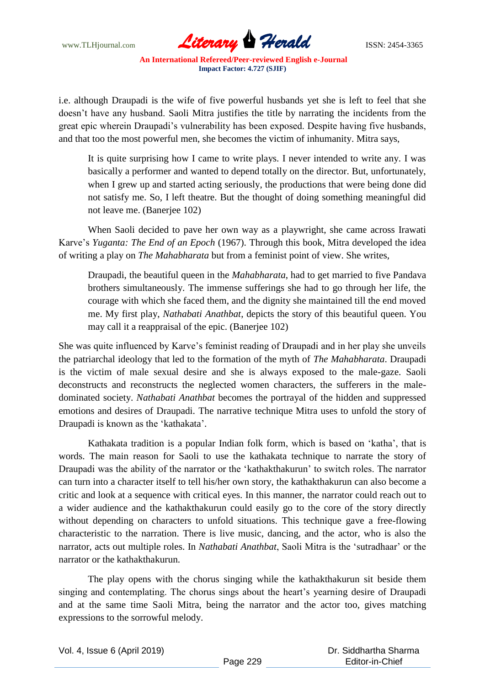

i.e. although Draupadi is the wife of five powerful husbands yet she is left to feel that she doesn"t have any husband. Saoli Mitra justifies the title by narrating the incidents from the great epic wherein Draupadi"s vulnerability has been exposed. Despite having five husbands, and that too the most powerful men, she becomes the victim of inhumanity. Mitra says,

It is quite surprising how I came to write plays. I never intended to write any. I was basically a performer and wanted to depend totally on the director. But, unfortunately, when I grew up and started acting seriously, the productions that were being done did not satisfy me. So, I left theatre. But the thought of doing something meaningful did not leave me. (Banerjee 102)

When Saoli decided to pave her own way as a playwright, she came across Irawati Karve"s *Yuganta: The End of an Epoch* (1967). Through this book, Mitra developed the idea of writing a play on *The Mahabharata* but from a feminist point of view. She writes,

Draupadi, the beautiful queen in the *Mahabharata*, had to get married to five Pandava brothers simultaneously. The immense sufferings she had to go through her life, the courage with which she faced them, and the dignity she maintained till the end moved me. My first play, *Nathabati Anathbat*, depicts the story of this beautiful queen. You may call it a reappraisal of the epic. (Banerjee 102)

She was quite influenced by Karve"s feminist reading of Draupadi and in her play she unveils the patriarchal ideology that led to the formation of the myth of *The Mahabharata*. Draupadi is the victim of male sexual desire and she is always exposed to the male-gaze. Saoli deconstructs and reconstructs the neglected women characters, the sufferers in the maledominated society. *Nathabati Anathbat* becomes the portrayal of the hidden and suppressed emotions and desires of Draupadi. The narrative technique Mitra uses to unfold the story of Draupadi is known as the "kathakata".

Kathakata tradition is a popular Indian folk form, which is based on "katha", that is words. The main reason for Saoli to use the kathakata technique to narrate the story of Draupadi was the ability of the narrator or the "kathakthakurun" to switch roles. The narrator can turn into a character itself to tell his/her own story, the kathakthakurun can also become a critic and look at a sequence with critical eyes. In this manner, the narrator could reach out to a wider audience and the kathakthakurun could easily go to the core of the story directly without depending on characters to unfold situations. This technique gave a free-flowing characteristic to the narration. There is live music, dancing, and the actor, who is also the narrator, acts out multiple roles. In *Nathabati Anathbat*, Saoli Mitra is the "sutradhaar" or the narrator or the kathakthakurun.

The play opens with the chorus singing while the kathakthakurun sit beside them singing and contemplating. The chorus sings about the heart's yearning desire of Draupadi and at the same time Saoli Mitra, being the narrator and the actor too, gives matching expressions to the sorrowful melody.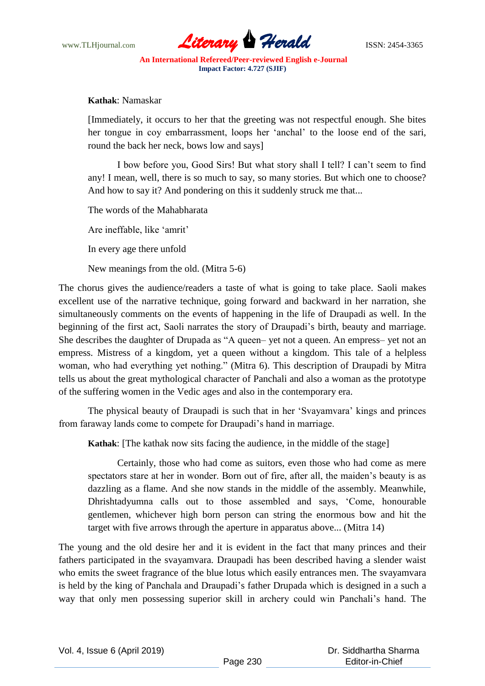

**Kathak**: Namaskar

[Immediately, it occurs to her that the greeting was not respectful enough. She bites her tongue in coy embarrassment, loops her "anchal" to the loose end of the sari, round the back her neck, bows low and says]

I bow before you, Good Sirs! But what story shall I tell? I can"t seem to find any! I mean, well, there is so much to say, so many stories. But which one to choose? And how to say it? And pondering on this it suddenly struck me that...

The words of the Mahabharata

Are ineffable, like "amrit"

In every age there unfold

New meanings from the old. (Mitra 5-6)

The chorus gives the audience/readers a taste of what is going to take place. Saoli makes excellent use of the narrative technique, going forward and backward in her narration, she simultaneously comments on the events of happening in the life of Draupadi as well. In the beginning of the first act, Saoli narrates the story of Draupadi's birth, beauty and marriage. She describes the daughter of Drupada as "A queen– yet not a queen. An empress– yet not an empress. Mistress of a kingdom, yet a queen without a kingdom. This tale of a helpless woman, who had everything yet nothing." (Mitra 6). This description of Draupadi by Mitra tells us about the great mythological character of Panchali and also a woman as the prototype of the suffering women in the Vedic ages and also in the contemporary era.

The physical beauty of Draupadi is such that in her "Svayamvara" kings and princes from faraway lands come to compete for Draupadi"s hand in marriage.

**Kathak**: [The kathak now sits facing the audience, in the middle of the stage]

Certainly, those who had come as suitors, even those who had come as mere spectators stare at her in wonder. Born out of fire, after all, the maiden"s beauty is as dazzling as a flame. And she now stands in the middle of the assembly. Meanwhile, Dhrishtadyumna calls out to those assembled and says, "Come, honourable gentlemen, whichever high born person can string the enormous bow and hit the target with five arrows through the aperture in apparatus above... (Mitra 14)

The young and the old desire her and it is evident in the fact that many princes and their fathers participated in the svayamvara. Draupadi has been described having a slender waist who emits the sweet fragrance of the blue lotus which easily entrances men. The svayamvara is held by the king of Panchala and Draupadi"s father Drupada which is designed in a such a way that only men possessing superior skill in archery could win Panchali"s hand. The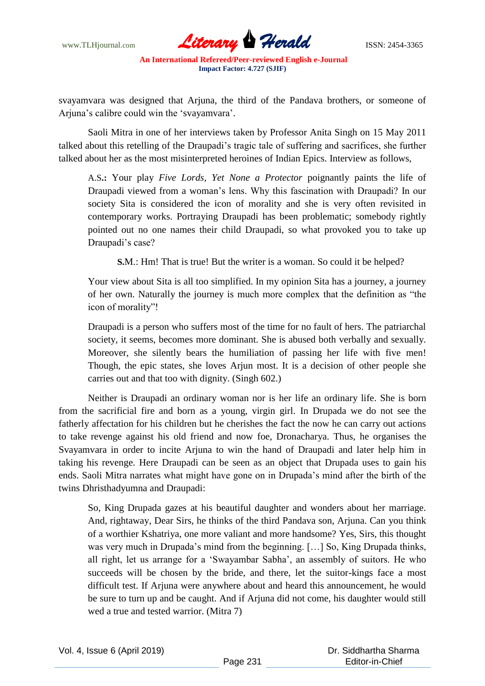

svayamvara was designed that Arjuna, the third of the Pandava brothers, or someone of Ariuna's calibre could win the 'svayamvara'.

Saoli Mitra in one of her interviews taken by Professor Anita Singh on 15 May 2011 talked about this retelling of the Draupadi"s tragic tale of suffering and sacrifices, she further talked about her as the most misinterpreted heroines of Indian Epics. Interview as follows,

A.S**.:** Your play *Five Lords, Yet None a Protector* poignantly paints the life of Draupadi viewed from a woman"s lens. Why this fascination with Draupadi? In our society Sita is considered the icon of morality and she is very often revisited in contemporary works. Portraying Draupadi has been problematic; somebody rightly pointed out no one names their child Draupadi, so what provoked you to take up Draupadi's case?

**S.M.:** Hm! That is true! But the writer is a woman. So could it be helped?

Your view about Sita is all too simplified. In my opinion Sita has a journey, a journey of her own. Naturally the journey is much more complex that the definition as "the icon of morality"!

Draupadi is a person who suffers most of the time for no fault of hers. The patriarchal society, it seems, becomes more dominant. She is abused both verbally and sexually. Moreover, she silently bears the humiliation of passing her life with five men! Though, the epic states, she loves Arjun most. It is a decision of other people she carries out and that too with dignity. (Singh 602.)

Neither is Draupadi an ordinary woman nor is her life an ordinary life. She is born from the sacrificial fire and born as a young, virgin girl. In Drupada we do not see the fatherly affectation for his children but he cherishes the fact the now he can carry out actions to take revenge against his old friend and now foe, Dronacharya. Thus, he organises the Svayamvara in order to incite Arjuna to win the hand of Draupadi and later help him in taking his revenge. Here Draupadi can be seen as an object that Drupada uses to gain his ends. Saoli Mitra narrates what might have gone on in Drupada"s mind after the birth of the twins Dhristhadyumna and Draupadi:

So, King Drupada gazes at his beautiful daughter and wonders about her marriage. And, rightaway, Dear Sirs, he thinks of the third Pandava son, Arjuna. Can you think of a worthier Kshatriya, one more valiant and more handsome? Yes, Sirs, this thought was very much in Drupada"s mind from the beginning. […] So, King Drupada thinks, all right, let us arrange for a "Swayambar Sabha", an assembly of suitors. He who succeeds will be chosen by the bride, and there, let the suitor-kings face a most difficult test. If Arjuna were anywhere about and heard this announcement, he would be sure to turn up and be caught. And if Arjuna did not come, his daughter would still wed a true and tested warrior. (Mitra 7)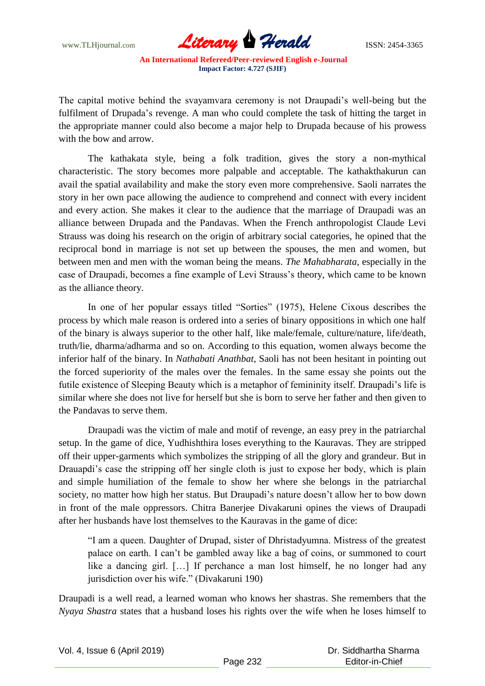www.TLHjournal.com *Literary Herald*ISSN: 2454-3365

The capital motive behind the svayamvara ceremony is not Draupadi's well-being but the fulfilment of Drupada"s revenge. A man who could complete the task of hitting the target in the appropriate manner could also become a major help to Drupada because of his prowess with the bow and arrow.

The kathakata style, being a folk tradition, gives the story a non-mythical characteristic. The story becomes more palpable and acceptable. The kathakthakurun can avail the spatial availability and make the story even more comprehensive. Saoli narrates the story in her own pace allowing the audience to comprehend and connect with every incident and every action. She makes it clear to the audience that the marriage of Draupadi was an alliance between Drupada and the Pandavas. When the French anthropologist Claude Levi Strauss was doing his research on the origin of arbitrary social categories, he opined that the reciprocal bond in marriage is not set up between the spouses, the men and women, but between men and men with the woman being the means. *The Mahabharata*, especially in the case of Draupadi, becomes a fine example of Levi Strauss's theory, which came to be known as the alliance theory.

In one of her popular essays titled "Sorties" (1975), Helene Cixous describes the process by which male reason is ordered into a series of binary oppositions in which one half of the binary is always superior to the other half, like male/female, culture/nature, life/death, truth/lie, dharma/adharma and so on. According to this equation, women always become the inferior half of the binary. In *Nathabati Anathbat*, Saoli has not been hesitant in pointing out the forced superiority of the males over the females. In the same essay she points out the futile existence of Sleeping Beauty which is a metaphor of femininity itself. Draupadi"s life is similar where she does not live for herself but she is born to serve her father and then given to the Pandavas to serve them.

Draupadi was the victim of male and motif of revenge, an easy prey in the patriarchal setup. In the game of dice, Yudhishthira loses everything to the Kauravas. They are stripped off their upper-garments which symbolizes the stripping of all the glory and grandeur. But in Drauapdi's case the stripping off her single cloth is just to expose her body, which is plain and simple humiliation of the female to show her where she belongs in the patriarchal society, no matter how high her status. But Draupadi"s nature doesn"t allow her to bow down in front of the male oppressors. Chitra Banerjee Divakaruni opines the views of Draupadi after her husbands have lost themselves to the Kauravas in the game of dice:

"I am a queen. Daughter of Drupad, sister of Dhristadyumna. Mistress of the greatest palace on earth. I can"t be gambled away like a bag of coins, or summoned to court like a dancing girl. […] If perchance a man lost himself, he no longer had any jurisdiction over his wife." (Divakaruni 190)

Draupadi is a well read, a learned woman who knows her shastras. She remembers that the *Nyaya Shastra* states that a husband loses his rights over the wife when he loses himself to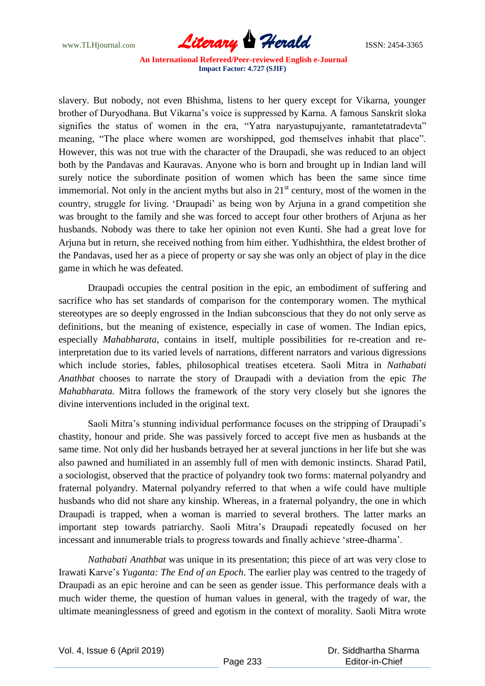www.TLHjournal.com *Literary Herald*ISSN: 2454-3365

slavery. But nobody, not even Bhishma, listens to her query except for Vikarna, younger brother of Duryodhana. But Vikarna"s voice is suppressed by Karna. A famous Sanskrit sloka signifies the status of women in the era, "Yatra naryastupujyante, ramantetatradevta" meaning, "The place where women are worshipped, god themselves inhabit that place". However, this was not true with the character of the Draupadi, she was reduced to an object both by the Pandavas and Kauravas. Anyone who is born and brought up in Indian land will surely notice the subordinate position of women which has been the same since time immemorial. Not only in the ancient myths but also in  $21<sup>st</sup>$  century, most of the women in the country, struggle for living. "Draupadi" as being won by Arjuna in a grand competition she was brought to the family and she was forced to accept four other brothers of Arjuna as her husbands. Nobody was there to take her opinion not even Kunti. She had a great love for Arjuna but in return, she received nothing from him either. Yudhishthira, the eldest brother of the Pandavas, used her as a piece of property or say she was only an object of play in the dice game in which he was defeated.

Draupadi occupies the central position in the epic, an embodiment of suffering and sacrifice who has set standards of comparison for the contemporary women. The mythical stereotypes are so deeply engrossed in the Indian subconscious that they do not only serve as definitions, but the meaning of existence, especially in case of women. The Indian epics, especially *Mahabharata*, contains in itself, multiple possibilities for re-creation and reinterpretation due to its varied levels of narrations, different narrators and various digressions which include stories, fables, philosophical treatises etcetera. Saoli Mitra in *Nathabati Anathbat* chooses to narrate the story of Draupadi with a deviation from the epic *The Mahabharata.* Mitra follows the framework of the story very closely but she ignores the divine interventions included in the original text.

Saoli Mitra's stunning individual performance focuses on the stripping of Draupadi's chastity, honour and pride. She was passively forced to accept five men as husbands at the same time. Not only did her husbands betrayed her at several junctions in her life but she was also pawned and humiliated in an assembly full of men with demonic instincts. Sharad Patil, a sociologist, observed that the practice of polyandry took two forms: maternal polyandry and fraternal polyandry. Maternal polyandry referred to that when a wife could have multiple husbands who did not share any kinship. Whereas, in a fraternal polyandry, the one in which Draupadi is trapped, when a woman is married to several brothers. The latter marks an important step towards patriarchy. Saoli Mitra"s Draupadi repeatedly focused on her incessant and innumerable trials to progress towards and finally achieve "stree-dharma".

*Nathabati Anathbat* was unique in its presentation; this piece of art was very close to Irawati Karve"s *Yuganta: The End of an Epoch*. The earlier play was centred to the tragedy of Draupadi as an epic heroine and can be seen as gender issue. This performance deals with a much wider theme, the question of human values in general, with the tragedy of war, the ultimate meaninglessness of greed and egotism in the context of morality. Saoli Mitra wrote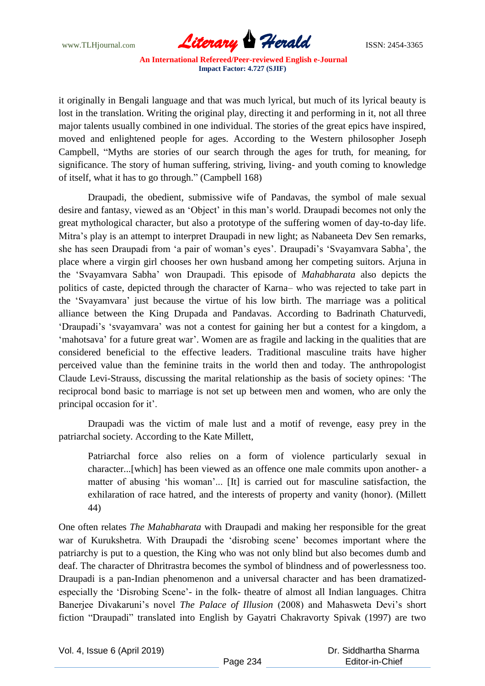

it originally in Bengali language and that was much lyrical, but much of its lyrical beauty is lost in the translation. Writing the original play, directing it and performing in it, not all three major talents usually combined in one individual. The stories of the great epics have inspired, moved and enlightened people for ages. According to the Western philosopher Joseph Campbell, "Myths are stories of our search through the ages for truth, for meaning, for significance. The story of human suffering, striving, living- and youth coming to knowledge of itself, what it has to go through." (Campbell 168)

Draupadi, the obedient, submissive wife of Pandavas, the symbol of male sexual desire and fantasy, viewed as an 'Object' in this man's world. Draupadi becomes not only the great mythological character, but also a prototype of the suffering women of day-to-day life. Mitra's play is an attempt to interpret Draupadi in new light; as Nabaneeta Dev Sen remarks, she has seen Draupadi from 'a pair of woman's eyes'. Draupadi's 'Svayamvara Sabha', the place where a virgin girl chooses her own husband among her competing suitors. Arjuna in the "Svayamvara Sabha" won Draupadi. This episode of *Mahabharata* also depicts the politics of caste, depicted through the character of Karna– who was rejected to take part in the "Svayamvara" just because the virtue of his low birth. The marriage was a political alliance between the King Drupada and Pandavas. According to Badrinath Chaturvedi, "Draupadi"s "svayamvara" was not a contest for gaining her but a contest for a kingdom, a "mahotsava" for a future great war". Women are as fragile and lacking in the qualities that are considered beneficial to the effective leaders. Traditional masculine traits have higher perceived value than the feminine traits in the world then and today. The anthropologist Claude Levi-Strauss, discussing the marital relationship as the basis of society opines: "The reciprocal bond basic to marriage is not set up between men and women, who are only the principal occasion for it'.

Draupadi was the victim of male lust and a motif of revenge, easy prey in the patriarchal society. According to the Kate Millett,

Patriarchal force also relies on a form of violence particularly sexual in character...[which] has been viewed as an offence one male commits upon another- a matter of abusing 'his woman'... [It] is carried out for masculine satisfaction, the exhilaration of race hatred, and the interests of property and vanity (honor). (Millett 44)

One often relates *The Mahabharata* with Draupadi and making her responsible for the great war of Kurukshetra. With Draupadi the "disrobing scene" becomes important where the patriarchy is put to a question, the King who was not only blind but also becomes dumb and deaf. The character of Dhritrastra becomes the symbol of blindness and of powerlessness too. Draupadi is a pan-Indian phenomenon and a universal character and has been dramatizedespecially the 'Disrobing Scene'- in the folk- theatre of almost all Indian languages. Chitra Banerjee Divakaruni's novel *The Palace of Illusion* (2008) and Mahasweta Devi's short fiction "Draupadi" translated into English by Gayatri Chakravorty Spivak (1997) are two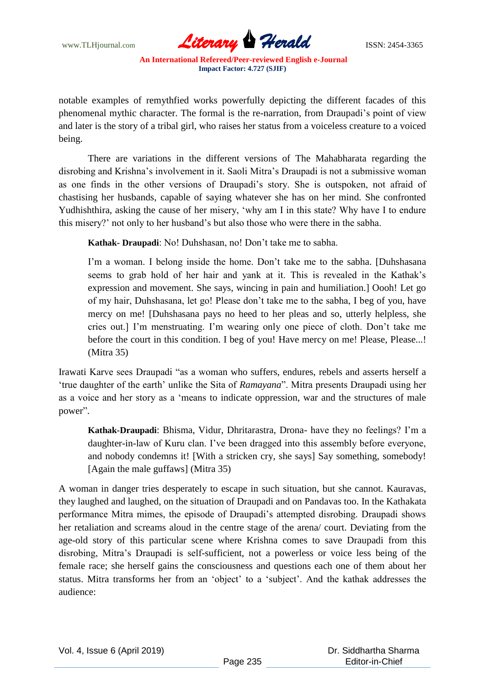www.TLHjournal.com **Literary Herald Herald** ISSN: 2454-3365

notable examples of remythfied works powerfully depicting the different facades of this phenomenal mythic character. The formal is the re-narration, from Draupadi"s point of view and later is the story of a tribal girl, who raises her status from a voiceless creature to a voiced being.

There are variations in the different versions of The Mahabharata regarding the disrobing and Krishna"s involvement in it. Saoli Mitra"s Draupadi is not a submissive woman as one finds in the other versions of Draupadi"s story. She is outspoken, not afraid of chastising her husbands, capable of saying whatever she has on her mind. She confronted Yudhishthira, asking the cause of her misery, "why am I in this state? Why have I to endure this misery?" not only to her husband"s but also those who were there in the sabha.

**Kathak- Draupadi**: No! Duhshasan, no! Don"t take me to sabha.

I'm a woman. I belong inside the home. Don't take me to the sabha. [Duhshasana seems to grab hold of her hair and yank at it. This is revealed in the Kathak"s expression and movement. She says, wincing in pain and humiliation.] Oooh! Let go of my hair, Duhshasana, let go! Please don"t take me to the sabha, I beg of you, have mercy on me! [Duhshasana pays no heed to her pleas and so, utterly helpless, she cries out.] I"m menstruating. I"m wearing only one piece of cloth. Don"t take me before the court in this condition. I beg of you! Have mercy on me! Please, Please...! (Mitra 35)

Irawati Karve sees Draupadi "as a woman who suffers, endures, rebels and asserts herself a "true daughter of the earth" unlike the Sita of *Ramayana*". Mitra presents Draupadi using her as a voice and her story as a "means to indicate oppression, war and the structures of male power".

**Kathak-Draupadi**: Bhisma, Vidur, Dhritarastra, Drona- have they no feelings? I"m a daughter-in-law of Kuru clan. I"ve been dragged into this assembly before everyone, and nobody condemns it! [With a stricken cry, she says] Say something, somebody! [Again the male guffaws] (Mitra 35)

A woman in danger tries desperately to escape in such situation, but she cannot. Kauravas, they laughed and laughed, on the situation of Draupadi and on Pandavas too. In the Kathakata performance Mitra mimes, the episode of Draupadi"s attempted disrobing. Draupadi shows her retaliation and screams aloud in the centre stage of the arena/ court. Deviating from the age-old story of this particular scene where Krishna comes to save Draupadi from this disrobing, Mitra"s Draupadi is self-sufficient, not a powerless or voice less being of the female race; she herself gains the consciousness and questions each one of them about her status. Mitra transforms her from an 'object' to a 'subject'. And the kathak addresses the audience: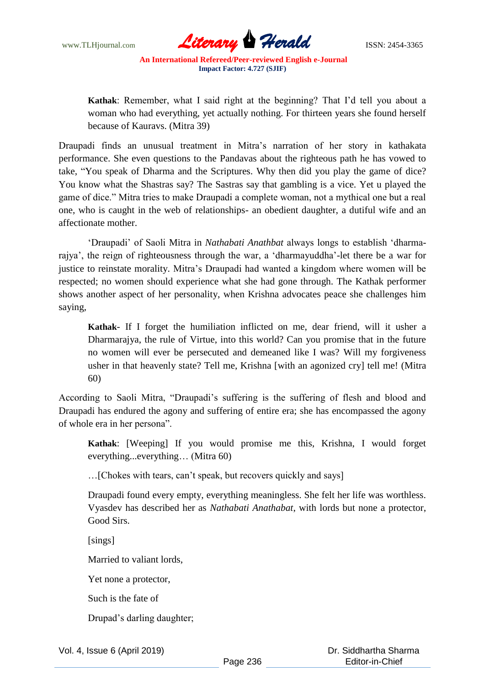

**Kathak**: Remember, what I said right at the beginning? That I"d tell you about a woman who had everything, yet actually nothing. For thirteen years she found herself because of Kauravs. (Mitra 39)

Draupadi finds an unusual treatment in Mitra"s narration of her story in kathakata performance. She even questions to the Pandavas about the righteous path he has vowed to take, "You speak of Dharma and the Scriptures. Why then did you play the game of dice? You know what the Shastras say? The Sastras say that gambling is a vice. Yet u played the game of dice." Mitra tries to make Draupadi a complete woman, not a mythical one but a real one, who is caught in the web of relationships- an obedient daughter, a dutiful wife and an affectionate mother.

"Draupadi" of Saoli Mitra in *Nathabati Anathbat* always longs to establish "dharmarajya", the reign of righteousness through the war, a "dharmayuddha"-let there be a war for justice to reinstate morality. Mitra's Draupadi had wanted a kingdom where women will be respected; no women should experience what she had gone through. The Kathak performer shows another aspect of her personality, when Krishna advocates peace she challenges him saying,

**Kathak**- If I forget the humiliation inflicted on me, dear friend, will it usher a Dharmarajya, the rule of Virtue, into this world? Can you promise that in the future no women will ever be persecuted and demeaned like I was? Will my forgiveness usher in that heavenly state? Tell me, Krishna [with an agonized cry] tell me! (Mitra 60)

According to Saoli Mitra, "Draupadi"s suffering is the suffering of flesh and blood and Draupadi has endured the agony and suffering of entire era; she has encompassed the agony of whole era in her persona".

**Kathak**: [Weeping] If you would promise me this, Krishna, I would forget everything...everything... (Mitra 60)

... [Chokes with tears, can't speak, but recovers quickly and says]

Draupadi found every empty, everything meaningless. She felt her life was worthless. Vyasdev has described her as *Nathabati Anathabat*, with lords but none a protector, Good Sirs.

[sings]

Married to valiant lords,

Yet none a protector,

Such is the fate of

Drupad"s darling daughter;

Vol. 4, Issue 6 (April 2019)

 Dr. Siddhartha Sharma Editor-in-Chief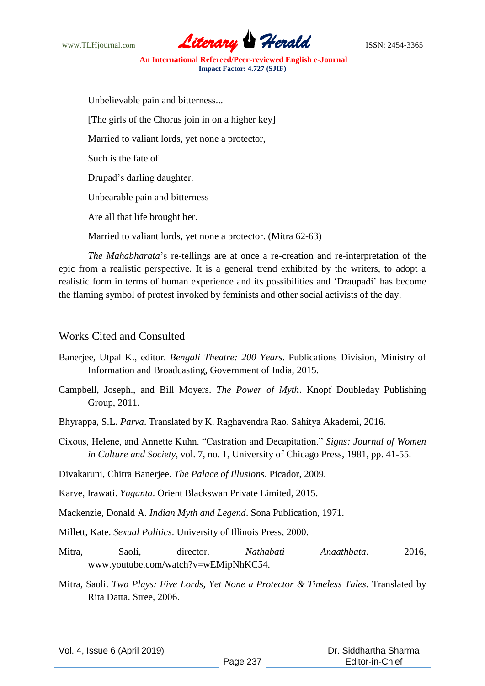

Unbelievable pain and bitterness... [The girls of the Chorus join in on a higher key] Married to valiant lords, yet none a protector, Such is the fate of Drupad"s darling daughter. Unbearable pain and bitterness Are all that life brought her.

Married to valiant lords, yet none a protector. (Mitra 62-63)

*The Mahabharata*"s re-tellings are at once a re-creation and re-interpretation of the epic from a realistic perspective. It is a general trend exhibited by the writers, to adopt a realistic form in terms of human experience and its possibilities and "Draupadi" has become the flaming symbol of protest invoked by feminists and other social activists of the day.

## Works Cited and Consulted

- Banerjee, Utpal K., editor. *Bengali Theatre: 200 Years*. Publications Division, Ministry of Information and Broadcasting, Government of India, 2015.
- Campbell, Joseph., and Bill Moyers. *The Power of Myth*. Knopf Doubleday Publishing Group, 2011.
- Bhyrappa, S.L. *Parva*. Translated by K. Raghavendra Rao. Sahitya Akademi, 2016.
- Cixous, Helene, and Annette Kuhn. "Castration and Decapitation." *Signs: Journal of Women in Culture and Society*, vol. 7, no. 1, University of Chicago Press, 1981, pp. 41-55.

Divakaruni, Chitra Banerjee. *The Palace of Illusions*. Picador, 2009.

Karve, Irawati. *Yuganta*. Orient Blackswan Private Limited, 2015.

Mackenzie, Donald A. *Indian Myth and Legend*. Sona Publication, 1971.

Millett, Kate. *Sexual Politics*. University of Illinois Press, 2000.

- Mitra, Saoli, director. *Nathabati Anaathbata*. 2016, www.youtube.com/watch?v=wEMipNhKC54.
- Mitra, Saoli. *Two Plays: Five Lords, Yet None a Protector & Timeless Tales*. Translated by Rita Datta. Stree, 2006.